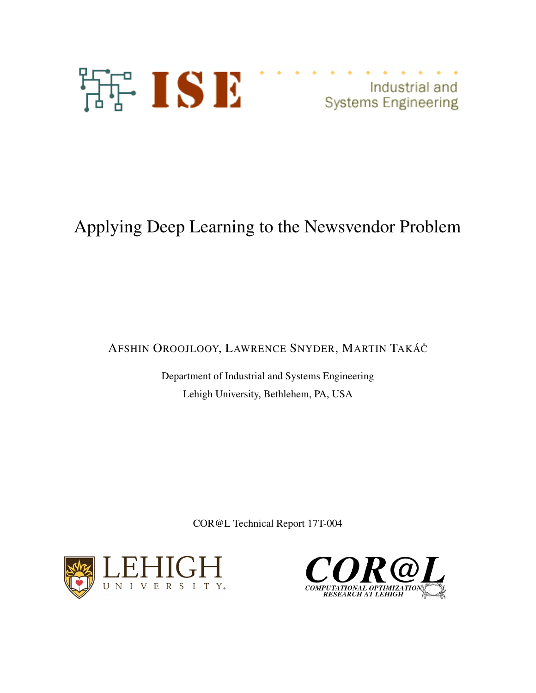

Industrial and **Systems Engineering** 

# Applying Deep Learning to the Newsvendor Problem

AFSHIN OROOJLOOY, LAWRENCE SNYDER, MARTIN TAKÁČ

Department of Industrial and Systems Engineering Lehigh University, Bethlehem, PA, USA

COR@L Technical Report 17T-004



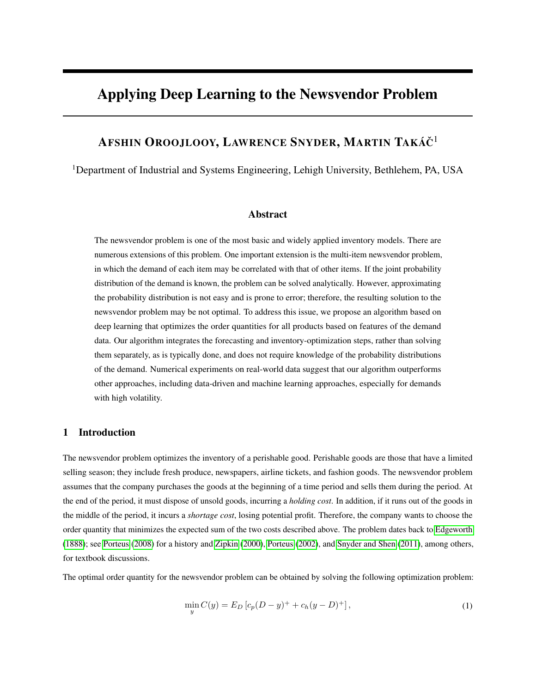# Applying Deep Learning to the Newsvendor Problem

# Afshin Oroojlooy, Lawrence Snyder, Martin Takáč<sup>1</sup>

<sup>1</sup>Department of Industrial and Systems Engineering, Lehigh University, Bethlehem, PA, USA

#### Abstract

The newsvendor problem is one of the most basic and widely applied inventory models. There are numerous extensions of this problem. One important extension is the multi-item newsvendor problem, in which the demand of each item may be correlated with that of other items. If the joint probability distribution of the demand is known, the problem can be solved analytically. However, approximating the probability distribution is not easy and is prone to error; therefore, the resulting solution to the newsvendor problem may be not optimal. To address this issue, we propose an algorithm based on deep learning that optimizes the order quantities for all products based on features of the demand data. Our algorithm integrates the forecasting and inventory-optimization steps, rather than solving them separately, as is typically done, and does not require knowledge of the probability distributions of the demand. Numerical experiments on real-world data suggest that our algorithm outperforms other approaches, including data-driven and machine learning approaches, especially for demands with high volatility.

# 1 Introduction

The newsvendor problem optimizes the inventory of a perishable good. Perishable goods are those that have a limited selling season; they include fresh produce, newspapers, airline tickets, and fashion goods. The newsvendor problem assumes that the company purchases the goods at the beginning of a time period and sells them during the period. At the end of the period, it must dispose of unsold goods, incurring a *holding cost*. In addition, if it runs out of the goods in the middle of the period, it incurs a *shortage cost*, losing potential profit. Therefore, the company wants to choose the order quantity that minimizes the expected sum of the two costs described above. The problem dates back to [Edgeworth](#page-14-0) [\(1888\)](#page-14-0); see [Porteus](#page-14-1) [\(2008\)](#page-14-1) for a history and [Zipkin](#page-15-0) [\(2000\)](#page-15-0), [Porteus](#page-14-2) [\(2002\)](#page-14-2), and [Snyder and Shen](#page-15-1) [\(2011\)](#page-15-1), among others, for textbook discussions.

<span id="page-1-0"></span>The optimal order quantity for the newsvendor problem can be obtained by solving the following optimization problem:

$$
\min_{y} C(y) = E_D \left[ c_p (D - y)^+ + c_h (y - D)^+ \right],\tag{1}
$$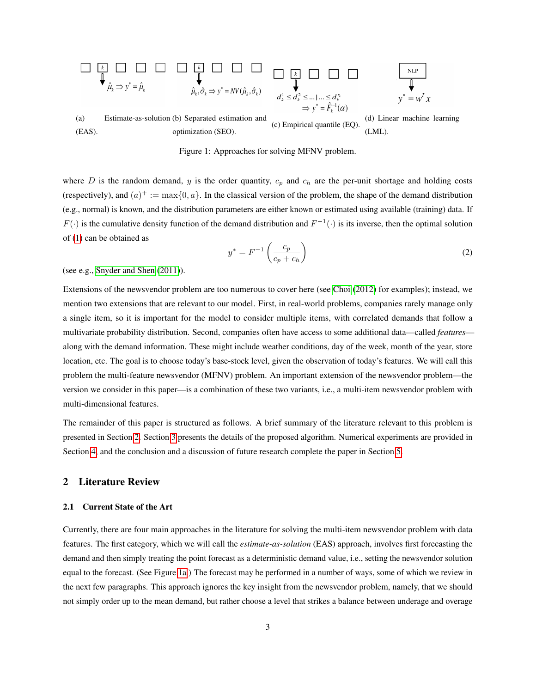<span id="page-2-1"></span>

Figure 1: Approaches for solving MFNV problem.

where D is the random demand, y is the order quantity,  $c_p$  and  $c_h$  are the per-unit shortage and holding costs (respectively), and  $(a)^+ := \max\{0, a\}$ . In the classical version of the problem, the shape of the demand distribution (e.g., normal) is known, and the distribution parameters are either known or estimated using available (training) data. If  $F(\cdot)$  is the cumulative density function of the demand distribution and  $F^{-1}(\cdot)$  is its inverse, then the optimal solution of [\(1\)](#page-1-0) can be obtained as

<span id="page-2-2"></span>
$$
y^* = F^{-1}\left(\frac{c_p}{c_p + c_h}\right) \tag{2}
$$

(see e.g., [Snyder and Shen](#page-15-1) [\(2011\)](#page-15-1)).

Extensions of the newsvendor problem are too numerous to cover here (see [Choi](#page-14-3) [\(2012\)](#page-14-3) for examples); instead, we mention two extensions that are relevant to our model. First, in real-world problems, companies rarely manage only a single item, so it is important for the model to consider multiple items, with correlated demands that follow a multivariate probability distribution. Second, companies often have access to some additional data—called *features* along with the demand information. These might include weather conditions, day of the week, month of the year, store location, etc. The goal is to choose today's base-stock level, given the observation of today's features. We will call this problem the multi-feature newsvendor (MFNV) problem. An important extension of the newsvendor problem—the version we consider in this paper—is a combination of these two variants, i.e., a multi-item newsvendor problem with multi-dimensional features.

The remainder of this paper is structured as follows. A brief summary of the literature relevant to this problem is presented in Section [2.](#page-2-0) Section [3](#page-6-0) presents the details of the proposed algorithm. Numerical experiments are provided in Section [4,](#page-8-0) and the conclusion and a discussion of future research complete the paper in Section [5.](#page-13-0)

# <span id="page-2-0"></span>2 Literature Review

#### <span id="page-2-3"></span>2.1 Current State of the Art

Currently, there are four main approaches in the literature for solving the multi-item newsvendor problem with data features. The first category, which we will call the *estimate-as-solution* (EAS) approach, involves first forecasting the demand and then simply treating the point forecast as a deterministic demand value, i.e., setting the newsvendor solution equal to the forecast. (See Figure [1a.](#page-2-1)) The forecast may be performed in a number of ways, some of which we review in the next few paragraphs. This approach ignores the key insight from the newsvendor problem, namely, that we should not simply order up to the mean demand, but rather choose a level that strikes a balance between underage and overage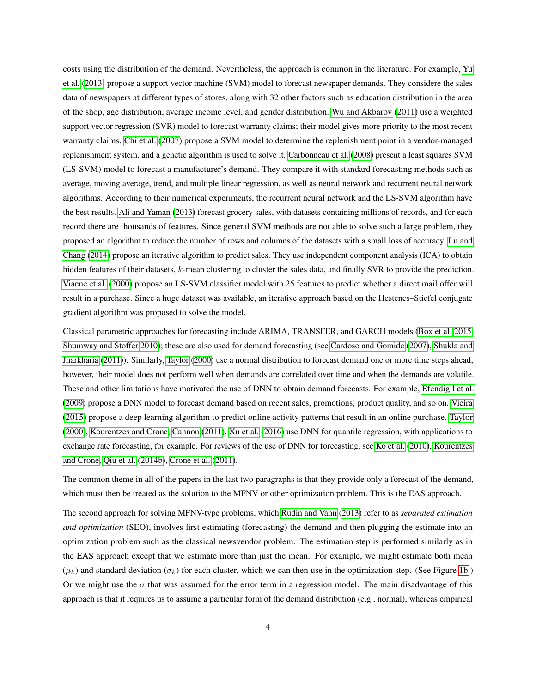costs using the distribution of the demand. Nevertheless, the approach is common in the literature. For example, [Yu](#page-15-2) [et al.](#page-15-2) [\(2013\)](#page-15-2) propose a support vector machine (SVM) model to forecast newspaper demands. They considere the sales data of newspapers at different types of stores, along with 32 other factors such as education distribution in the area of the shop, age distribution, average income level, and gender distribution. [Wu and Akbarov](#page-15-3) [\(2011\)](#page-15-3) use a weighted support vector regression (SVR) model to forecast warranty claims; their model gives more priority to the most recent warranty claims. [Chi et al.](#page-14-4) [\(2007\)](#page-14-4) propose a SVM model to determine the replenishment point in a vendor-managed replenishment system, and a genetic algorithm is used to solve it. [Carbonneau et al.](#page-13-1) [\(2008\)](#page-13-1) present a least squares SVM (LS-SVM) model to forecast a manufacturer's demand. They compare it with standard forecasting methods such as average, moving average, trend, and multiple linear regression, as well as neural network and recurrent neural network algorithms. According to their numerical experiments, the recurrent neural network and the LS-SVM algorithm have the best results. [Ali and Yaman](#page-13-2) [\(2013\)](#page-13-2) forecast grocery sales, with datasets containing millions of records, and for each record there are thousands of features. Since general SVM methods are not able to solve such a large problem, they proposed an algorithm to reduce the number of rows and columns of the datasets with a small loss of accuracy. [Lu and](#page-14-5) [Chang](#page-14-5) [\(2014\)](#page-14-5) propose an iterative algorithm to predict sales. They use independent component analysis (ICA) to obtain hidden features of their datasets, k-mean clustering to cluster the sales data, and finally SVR to provide the prediction. [Viaene et al.](#page-15-4) [\(2000\)](#page-15-4) propose an LS-SVM classifier model with 25 features to predict whether a direct mail offer will result in a purchase. Since a huge dataset was available, an iterative approach based on the Hestenes–Stiefel conjugate gradient algorithm was proposed to solve the model.

Classical parametric approaches for forecasting include ARIMA, TRANSFER, and GARCH models [\(Box et al. 2015,](#page-13-3) [Shumway and Stoffer 2010\)](#page-15-5); these are also used for demand forecasting (see [Cardoso and Gomide](#page-14-6) [\(2007\)](#page-14-6), [Shukla and](#page-15-6) [Jharkharia](#page-15-6) [\(2011\)](#page-15-6)). Similarly, [Taylor](#page-15-7) [\(2000\)](#page-15-7) use a normal distribution to forecast demand one or more time steps ahead; however, their model does not perform well when demands are correlated over time and when the demands are volatile. These and other limitations have motivated the use of DNN to obtain demand forecasts. For example, [Efendigil et al.](#page-14-7) [\(2009\)](#page-14-7) propose a DNN model to forecast demand based on recent sales, promotions, product quality, and so on. [Vieira](#page-15-8) [\(2015\)](#page-15-8) propose a deep learning algorithm to predict online activity patterns that result in an online purchase. [Taylor](#page-15-7) [\(2000\)](#page-15-7), [Kourentzes and Crone,](#page-14-8) [Cannon](#page-13-4) [\(2011\)](#page-13-4), [Xu et al.](#page-15-9) [\(2016\)](#page-15-9) use DNN for quantile regression, with applications to exchange rate forecasting, for example. For reviews of the use of DNN for forecasting, see [Ko et al.](#page-14-9) [\(2010\)](#page-14-9), [Kourentzes](#page-14-8) [and Crone,](#page-14-8) [Qiu et al.](#page-14-10) [\(2014b\)](#page-14-10), [Crone et al.](#page-14-11) [\(2011\)](#page-14-11).

The common theme in all of the papers in the last two paragraphs is that they provide only a forecast of the demand, which must then be treated as the solution to the MFNV or other optimization problem. This is the EAS approach.

The second approach for solving MFNV-type problems, which [Rudin and Vahn](#page-15-10) [\(2013\)](#page-15-10) refer to as *separated estimation and optimization* (SEO), involves first estimating (forecasting) the demand and then plugging the estimate into an optimization problem such as the classical newsvendor problem. The estimation step is performed similarly as in the EAS approach except that we estimate more than just the mean. For example, we might estimate both mean  $(\mu_k)$  and standard deviation ( $\sigma_k$ ) for each cluster, which we can then use in the optimization step. (See Figure [1b.](#page-2-1)) Or we might use the  $\sigma$  that was assumed for the error term in a regression model. The main disadvantage of this approach is that it requires us to assume a particular form of the demand distribution (e.g., normal), whereas empirical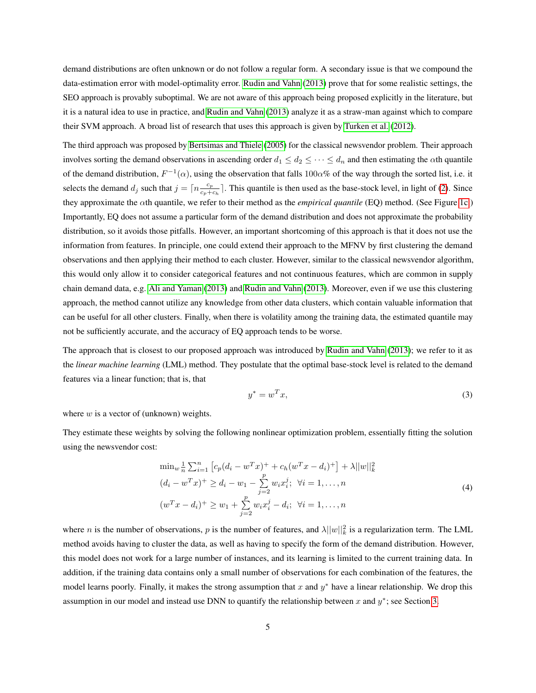demand distributions are often unknown or do not follow a regular form. A secondary issue is that we compound the data-estimation error with model-optimality error. [Rudin and Vahn](#page-15-10) [\(2013\)](#page-15-10) prove that for some realistic settings, the SEO approach is provably suboptimal. We are not aware of this approach being proposed explicitly in the literature, but it is a natural idea to use in practice, and [Rudin and Vahn](#page-15-10) [\(2013\)](#page-15-10) analyze it as a straw-man against which to compare their SVM approach. A broad list of research that uses this approach is given by [Turken et al.](#page-15-11) [\(2012\)](#page-15-11).

The third approach was proposed by [Bertsimas and Thiele](#page-13-5) [\(2005\)](#page-13-5) for the classical newsvendor problem. Their approach involves sorting the demand observations in ascending order  $d_1 \leq d_2 \leq \cdots \leq d_n$  and then estimating the  $\alpha$ th quantile of the demand distribution,  $F^{-1}(\alpha)$ , using the observation that falls 100 $\alpha$ % of the way through the sorted list, i.e. it selects the demand  $d_j$  such that  $j = \lceil n \frac{c_p}{c_p + 1} \rceil$  $\frac{c_p}{c_p+c_h}$ . This quantile is then used as the base-stock level, in light of [\(2\)](#page-2-2). Since they approximate the αth quantile, we refer to their method as the *empirical quantile* (EQ) method. (See Figure [1c.](#page-2-1)) Importantly, EQ does not assume a particular form of the demand distribution and does not approximate the probability distribution, so it avoids those pitfalls. However, an important shortcoming of this approach is that it does not use the information from features. In principle, one could extend their approach to the MFNV by first clustering the demand observations and then applying their method to each cluster. However, similar to the classical newsvendor algorithm, this would only allow it to consider categorical features and not continuous features, which are common in supply chain demand data, e.g. [Ali and Yaman](#page-13-2) [\(2013\)](#page-13-2) and [Rudin and Vahn](#page-15-10) [\(2013\)](#page-15-10). Moreover, even if we use this clustering approach, the method cannot utilize any knowledge from other data clusters, which contain valuable information that can be useful for all other clusters. Finally, when there is volatility among the training data, the estimated quantile may not be sufficiently accurate, and the accuracy of EQ approach tends to be worse.

The approach that is closest to our proposed approach was introduced by [Rudin and Vahn](#page-15-10) [\(2013\)](#page-15-10); we refer to it as the *linear machine learning* (LML) method. They postulate that the optimal base-stock level is related to the demand features via a linear function; that is, that

$$
y^* = w^T x,\tag{3}
$$

where  $w$  is a vector of (unknown) weights.

They estimate these weights by solving the following nonlinear optimization problem, essentially fitting the solution using the newsvendor cost:

$$
\min_{w} \frac{1}{n} \sum_{i=1}^{n} \left[ c_p (d_i - w^T x)^+ + c_h (w^T x - d_i)^+ \right] + \lambda ||w||_k^2
$$
  
\n
$$
(d_i - w^T x)^+ \ge d_i - w_1 - \sum_{j=2}^{p} w_i x_i^j; \quad \forall i = 1, ..., n
$$
  
\n
$$
(w^T x - d_i)^+ \ge w_1 + \sum_{j=2}^{p} w_i x_i^j - d_i; \quad \forall i = 1, ..., n
$$
\n(4)

where *n* is the number of observations, *p* is the number of features, and  $\lambda ||w||^2_k$  is a regularization term. The LML method avoids having to cluster the data, as well as having to specify the form of the demand distribution. However, this model does not work for a large number of instances, and its learning is limited to the current training data. In addition, if the training data contains only a small number of observations for each combination of the features, the model learns poorly. Finally, it makes the strong assumption that x and  $y^*$  have a linear relationship. We drop this assumption in our model and instead use DNN to quantify the relationship between x and  $y^*$ ; see Section [3.](#page-6-0)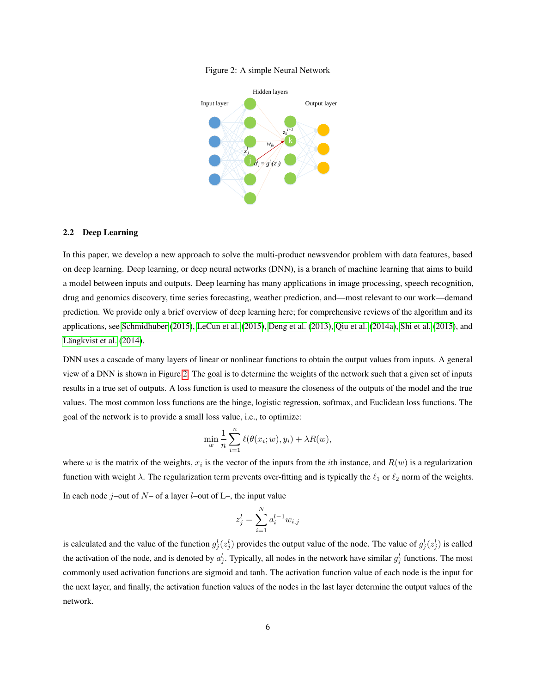

<span id="page-5-0"></span>

#### 2.2 Deep Learning

In this paper, we develop a new approach to solve the multi-product newsvendor problem with data features, based on deep learning. Deep learning, or deep neural networks (DNN), is a branch of machine learning that aims to build a model between inputs and outputs. Deep learning has many applications in image processing, speech recognition, drug and genomics discovery, time series forecasting, weather prediction, and—most relevant to our work—demand prediction. We provide only a brief overview of deep learning here; for comprehensive reviews of the algorithm and its applications, see [Schmidhuber](#page-15-12) [\(2015\)](#page-15-12), [LeCun et al.](#page-14-12) [\(2015\)](#page-14-12), [Deng et al.](#page-14-13) [\(2013\)](#page-14-13), [Qiu et al.](#page-14-14) [\(2014a\)](#page-14-14), [Shi et al.](#page-15-13) [\(2015\)](#page-15-13), and [Längkvist et al.](#page-14-15) [\(2014\)](#page-14-15).

DNN uses a cascade of many layers of linear or nonlinear functions to obtain the output values from inputs. A general view of a DNN is shown in Figure [2.](#page-5-0) The goal is to determine the weights of the network such that a given set of inputs results in a true set of outputs. A loss function is used to measure the closeness of the outputs of the model and the true values. The most common loss functions are the hinge, logistic regression, softmax, and Euclidean loss functions. The goal of the network is to provide a small loss value, i.e., to optimize:

$$
\min_{w} \frac{1}{n} \sum_{i=1}^{n} \ell(\theta(x_i; w), y_i) + \lambda R(w),
$$

where w is the matrix of the weights,  $x_i$  is the vector of the inputs from the *i*th instance, and  $R(w)$  is a regularization function with weight  $\lambda$ . The regularization term prevents over-fitting and is typically the  $\ell_1$  or  $\ell_2$  norm of the weights. In each node  $j$ –out of  $N$ – of a layer  $l$ –out of  $L$ –, the input value

$$
z_j^l = \sum_{i=1}^{N} a_i^{l-1} w_{i,j}
$$

is calculated and the value of the function  $g_j^l(z_j^l)$  provides the output value of the node. The value of  $g_j^l(z_j^l)$  is called the activation of the node, and is denoted by  $a_j^l$ . Typically, all nodes in the network have similar  $g_j^l$  functions. The most commonly used activation functions are sigmoid and tanh. The activation function value of each node is the input for the next layer, and finally, the activation function values of the nodes in the last layer determine the output values of the network.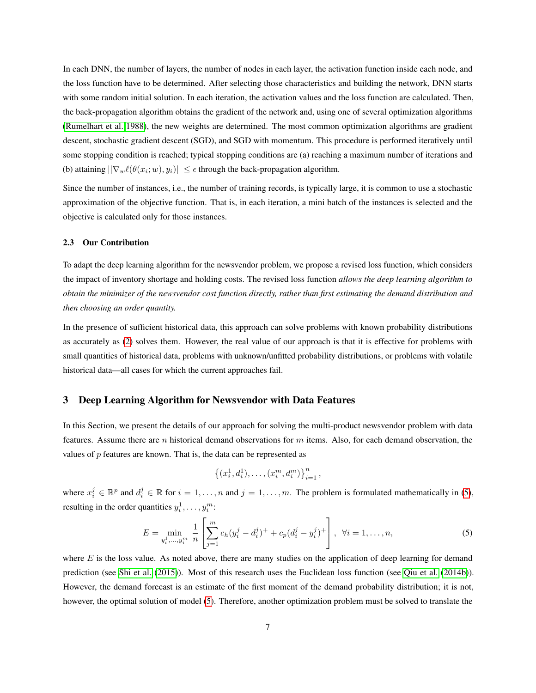In each DNN, the number of layers, the number of nodes in each layer, the activation function inside each node, and the loss function have to be determined. After selecting those characteristics and building the network, DNN starts with some random initial solution. In each iteration, the activation values and the loss function are calculated. Then, the back-propagation algorithm obtains the gradient of the network and, using one of several optimization algorithms [\(Rumelhart et al. 1988\)](#page-15-14), the new weights are determined. The most common optimization algorithms are gradient descent, stochastic gradient descent (SGD), and SGD with momentum. This procedure is performed iteratively until some stopping condition is reached; typical stopping conditions are (a) reaching a maximum number of iterations and (b) attaining  $||\nabla_w \ell(\theta(x_i; w), y_i)|| \leq \epsilon$  through the back-propagation algorithm.

Since the number of instances, i.e., the number of training records, is typically large, it is common to use a stochastic approximation of the objective function. That is, in each iteration, a mini batch of the instances is selected and the objective is calculated only for those instances.

#### 2.3 Our Contribution

To adapt the deep learning algorithm for the newsvendor problem, we propose a revised loss function, which considers the impact of inventory shortage and holding costs. The revised loss function *allows the deep learning algorithm to obtain the minimizer of the newsvendor cost function directly, rather than first estimating the demand distribution and then choosing an order quantity.*

In the presence of sufficient historical data, this approach can solve problems with known probability distributions as accurately as [\(2\)](#page-2-2) solves them. However, the real value of our approach is that it is effective for problems with small quantities of historical data, problems with unknown/unfitted probability distributions, or problems with volatile historical data—all cases for which the current approaches fail.

## <span id="page-6-0"></span>3 Deep Learning Algorithm for Newsvendor with Data Features

In this Section, we present the details of our approach for solving the multi-product newsvendor problem with data features. Assume there are n historical demand observations for  $m$  items. Also, for each demand observation, the values of p features are known. That is, the data can be represented as

<span id="page-6-1"></span>
$$
\left\{(x_i^1, d_i^1), \ldots, (x_i^m, d_i^m)\right\}_{i=1}^n,
$$

where  $x_i^j \in \mathbb{R}^p$  and  $d_i^j \in \mathbb{R}$  for  $i = 1, \ldots, n$  and  $j = 1, \ldots, m$ . The problem is formulated mathematically in [\(5\)](#page-6-1), resulting in the order quantities  $y_i^1, \ldots, y_i^m$ :

$$
E = \min_{y_i^1, \dots, y_i^m} \frac{1}{n} \left[ \sum_{j=1}^m c_h (y_i^j - d_i^j)^+ + c_p (d_i^j - y_i^j)^+ \right], \ \forall i = 1, \dots, n,
$$
\n(5)

where  $E$  is the loss value. As noted above, there are many studies on the application of deep learning for demand prediction (see [Shi et al.](#page-15-13) [\(2015\)](#page-15-13)). Most of this research uses the Euclidean loss function (see [Qiu et al.](#page-14-10) [\(2014b\)](#page-14-10)). However, the demand forecast is an estimate of the first moment of the demand probability distribution; it is not, however, the optimal solution of model [\(5\)](#page-6-1). Therefore, another optimization problem must be solved to translate the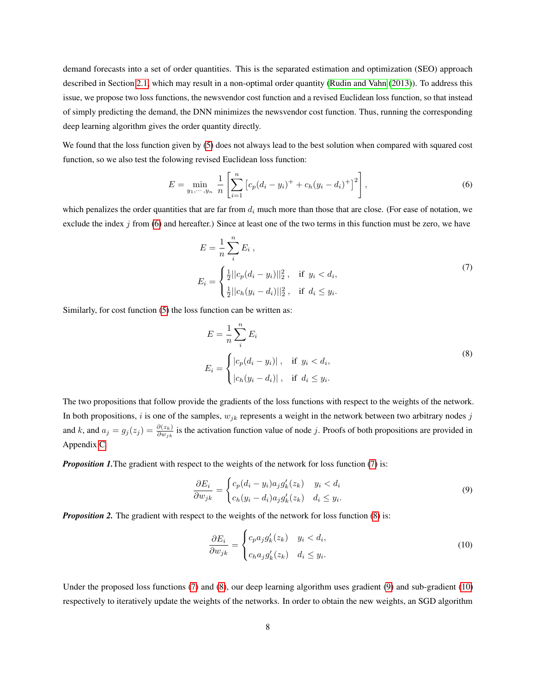demand forecasts into a set of order quantities. This is the separated estimation and optimization (SEO) approach described in Section [2.1,](#page-2-3) which may result in a non-optimal order quantity [\(Rudin and Vahn](#page-15-10) [\(2013\)](#page-15-10)). To address this issue, we propose two loss functions, the newsvendor cost function and a revised Euclidean loss function, so that instead of simply predicting the demand, the DNN minimizes the newsvendor cost function. Thus, running the corresponding deep learning algorithm gives the order quantity directly.

We found that the loss function given by [\(5\)](#page-6-1) does not always lead to the best solution when compared with squared cost function, so we also test the folowing revised Euclidean loss function:

$$
E = \min_{y_1, \cdots, y_n} \frac{1}{n} \left[ \sum_{i=1}^n \left[ c_p (d_i - y_i)^+ + c_h (y_i - d_i)^+ \right]^2 \right],\tag{6}
$$

which penalizes the order quantities that are far from  $d_i$  much more than those that are close. (For ease of notation, we exclude the index  $j$  from [\(6\)](#page-7-0) and hereafter.) Since at least one of the two terms in this function must be zero, we have

<span id="page-7-1"></span><span id="page-7-0"></span>
$$
E = \frac{1}{n} \sum_{i}^{n} E_{i},
$$
  
\n
$$
E_{i} = \begin{cases} \frac{1}{2} ||c_{p}(d_{i} - y_{i})||_{2}^{2}, & \text{if } y_{i} < d_{i}, \\ \frac{1}{2} ||c_{h}(y_{i} - d_{i})||_{2}^{2}, & \text{if } d_{i} \leq y_{i}. \end{cases}
$$
\n(7)

Similarly, for cost function [\(5\)](#page-6-1) the loss function can be written as:

<span id="page-7-2"></span>
$$
E = \frac{1}{n} \sum_{i}^{n} E_i
$$
  
\n
$$
E_i = \begin{cases} |c_p(d_i - y_i)|, & \text{if } y_i < d_i, \\ |c_h(y_i - d_i)|, & \text{if } d_i \le y_i. \end{cases}
$$
\n(8)

The two propositions that follow provide the gradients of the loss functions with respect to the weights of the network. In both propositions, i is one of the samples,  $w_{jk}$  represents a weight in the network between two arbitrary nodes j and k, and  $a_j = g_j(z_j) = \frac{\partial(z_k)}{\partial w_{jk}}$  is the activation function value of node j. Proofs of both propositions are provided in Appendix [C.](#page-17-0)

*Proposition 1.* The gradient with respect to the weights of the network for loss function [\(7\)](#page-7-1) is:

$$
\frac{\partial E_i}{\partial w_{jk}} = \begin{cases} c_p(d_i - y_i)a_j g'_k(z_k) & y_i < d_i \\ c_h(y_i - d_i)a_j g'_k(z_k) & d_i \le y_i. \end{cases} \tag{9}
$$

*Proposition 2.* The gradient with respect to the weights of the network for loss function [\(8\)](#page-7-2) is:

<span id="page-7-4"></span><span id="page-7-3"></span>
$$
\frac{\partial E_i}{\partial w_{jk}} = \begin{cases} c_p a_j g'_k(z_k) & y_i < d_i, \\ c_h a_j g'_k(z_k) & d_i \le y_i. \end{cases} \tag{10}
$$

Under the proposed loss functions [\(7\)](#page-7-1) and [\(8\)](#page-7-2), our deep learning algorithm uses gradient [\(9\)](#page-7-3) and sub-gradient [\(10\)](#page-7-4) respectively to iteratively update the weights of the networks. In order to obtain the new weights, an SGD algorithm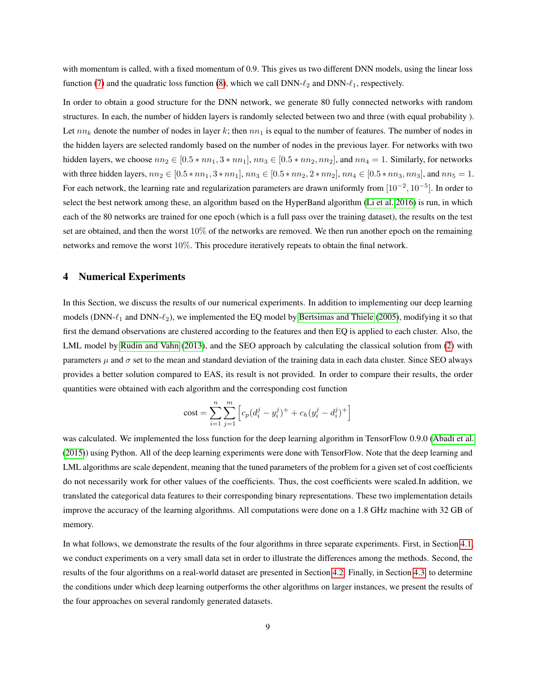with momentum is called, with a fixed momentum of 0.9. This gives us two different DNN models, using the linear loss function [\(7\)](#page-7-1) and the quadratic loss function [\(8\)](#page-7-2), which we call  $DNN-\ell_2$  and  $DNN-\ell_1$ , respectively.

In order to obtain a good structure for the DNN network, we generate 80 fully connected networks with random structures. In each, the number of hidden layers is randomly selected between two and three (with equal probability ). Let  $nn_k$  denote the number of nodes in layer k; then  $nn_1$  is equal to the number of features. The number of nodes in the hidden layers are selected randomly based on the number of nodes in the previous layer. For networks with two hidden layers, we choose  $nn_2 \in [0.5 * nn_1, 3 * nn_1], nn_3 \in [0.5 * nn_2, nn_2],$  and  $nn_4 = 1$ . Similarly, for networks with three hidden layers,  $nn_2 \in [0.5 * nn_1, 3 * nn_1], nn_3 \in [0.5 * nn_2, 2 * nn_2], nn_4 \in [0.5 * nn_3, nn_3],$  and  $nn_5 = 1$ . For each network, the learning rate and regularization parameters are drawn uniformly from  $[10^{-2}, 10^{-5}]$ . In order to select the best network among these, an algorithm based on the HyperBand algorithm [\(Li et al. 2016\)](#page-14-16) is run, in which each of the 80 networks are trained for one epoch (which is a full pass over the training dataset), the results on the test set are obtained, and then the worst  $10\%$  of the networks are removed. We then run another epoch on the remaining networks and remove the worst 10%. This procedure iteratively repeats to obtain the final network.

#### <span id="page-8-0"></span>4 Numerical Experiments

In this Section, we discuss the results of our numerical experiments. In addition to implementing our deep learning models (DNN- $\ell_1$  and DNN- $\ell_2$ ), we implemented the EQ model by [Bertsimas and Thiele](#page-13-5) [\(2005\)](#page-13-5), modifying it so that first the demand observations are clustered according to the features and then EQ is applied to each cluster. Also, the LML model by [Rudin and Vahn](#page-15-10) [\(2013\)](#page-15-10), and the SEO approach by calculating the classical solution from [\(2\)](#page-2-2) with parameters  $\mu$  and  $\sigma$  set to the mean and standard deviation of the training data in each data cluster. Since SEO always provides a better solution compared to EAS, its result is not provided. In order to compare their results, the order quantities were obtained with each algorithm and the corresponding cost function

$$
\text{cost} = \sum_{i=1}^{n} \sum_{j=1}^{m} \left[ c_p (d_i^j - y_i^j)^+ + c_h (y_i^j - d_i^j)^+ \right]
$$

was calculated. We implemented the loss function for the deep learning algorithm in TensorFlow 0.9.0 [\(Abadi et al.](#page-13-6) [\(2015\)](#page-13-6)) using Python. All of the deep learning experiments were done with TensorFlow. Note that the deep learning and LML algorithms are scale dependent, meaning that the tuned parameters of the problem for a given set of cost coefficients do not necessarily work for other values of the coefficients. Thus, the cost coefficients were scaled.In addition, we translated the categorical data features to their corresponding binary representations. These two implementation details improve the accuracy of the learning algorithms. All computations were done on a 1.8 GHz machine with 32 GB of memory.

In what follows, we demonstrate the results of the four algorithms in three separate experiments. First, in Section [4.1,](#page-9-0) we conduct experiments on a very small data set in order to illustrate the differences among the methods. Second, the results of the four algorithms on a real-world dataset are presented in Section [4.2.](#page-10-0) Finally, in Section [4.3,](#page-11-0) to determine the conditions under which deep learning outperforms the other algorithms on larger instances, we present the results of the four approaches on several randomly generated datasets.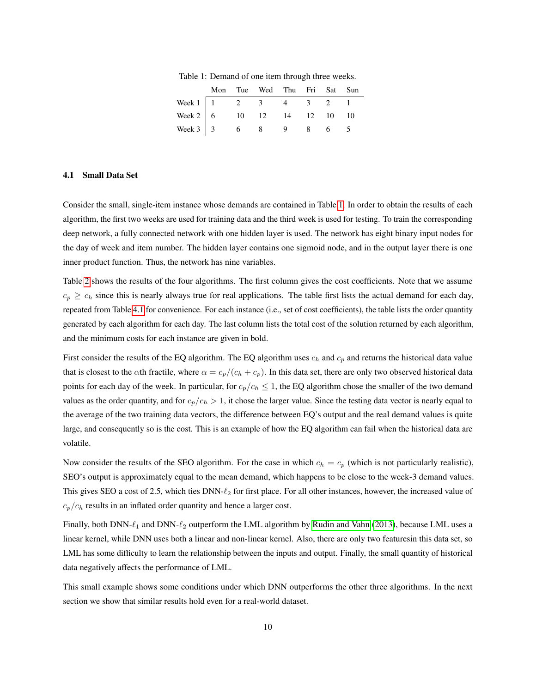<span id="page-9-1"></span>

|                                    |  | Mon Tue Wed Thu Fri Sat Sun |  |  |
|------------------------------------|--|-----------------------------|--|--|
| Week 1   1   2   3   4   3   2   1 |  |                             |  |  |
| Week 2   6 $10$ 12 14 12 10 10     |  |                             |  |  |
| Week 3 3 6 8 9 8 6 5               |  |                             |  |  |

Table 1: Demand of one item through three weeks.

#### <span id="page-9-0"></span>4.1 Small Data Set

Consider the small, single-item instance whose demands are contained in Table [1.](#page-9-1) In order to obtain the results of each algorithm, the first two weeks are used for training data and the third week is used for testing. To train the corresponding deep network, a fully connected network with one hidden layer is used. The network has eight binary input nodes for the day of week and item number. The hidden layer contains one sigmoid node, and in the output layer there is one inner product function. Thus, the network has nine variables.

Table [2](#page-10-1) shows the results of the four algorithms. The first column gives the cost coefficients. Note that we assume  $c_p \geq c_h$  since this is nearly always true for real applications. The table first lists the actual demand for each day, repeated from Table [4.1](#page-9-0) for convenience. For each instance (i.e., set of cost coefficients), the table lists the order quantity generated by each algorithm for each day. The last column lists the total cost of the solution returned by each algorithm, and the minimum costs for each instance are given in bold.

First consider the results of the EQ algorithm. The EQ algorithm uses  $c_h$  and  $c_p$  and returns the historical data value that is closest to the  $\alpha$ th fractile, where  $\alpha = c_p/(c_h + c_p)$ . In this data set, there are only two observed historical data points for each day of the week. In particular, for  $c_p/c_h \leq 1$ , the EQ algorithm chose the smaller of the two demand values as the order quantity, and for  $c_p/c_h > 1$ , it chose the larger value. Since the testing data vector is nearly equal to the average of the two training data vectors, the difference between EQ's output and the real demand values is quite large, and consequently so is the cost. This is an example of how the EQ algorithm can fail when the historical data are volatile.

Now consider the results of the SEO algorithm. For the case in which  $c_h = c_p$  (which is not particularly realistic), SEO's output is approximately equal to the mean demand, which happens to be close to the week-3 demand values. This gives SEO a cost of 2.5, which ties DNN- $\ell_2$  for first place. For all other instances, however, the increased value of  $c_p/c_h$  results in an inflated order quantity and hence a larger cost.

Finally, both DNN- $\ell_1$  and DNN- $\ell_2$  outperform the LML algorithm by [Rudin and Vahn](#page-15-10) [\(2013\)](#page-15-10), because LML uses a linear kernel, while DNN uses both a linear and non-linear kernel. Also, there are only two featuresin this data set, so LML has some difficulty to learn the relationship between the inputs and output. Finally, the small quantity of historical data negatively affects the performance of LML.

This small example shows some conditions under which DNN outperforms the other three algorithms. In the next section we show that similar results hold even for a real-world dataset.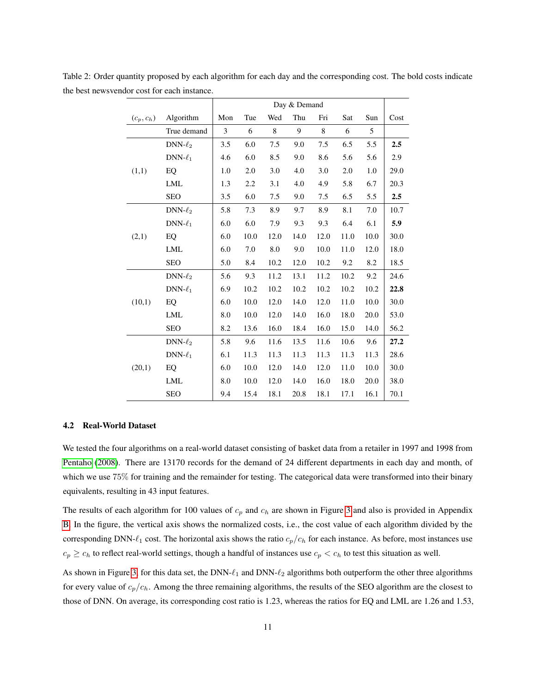|              |               | Day & Demand |      |      |      |             |      |      |      |
|--------------|---------------|--------------|------|------|------|-------------|------|------|------|
| $(c_p, c_h)$ | Algorithm     | Mon          | Tue  | Wed  | Thu  | Fri         | Sat  | Sun  | Cost |
|              | True demand   | 3            | 6    | 8    | 9    | $\,$ 8 $\,$ | 6    | 5    |      |
|              | $DNN-\ell_2$  | 3.5          | 6.0  | 7.5  | 9.0  | 7.5         | 6.5  | 5.5  | 2.5  |
|              | $DNN-\ell_1$  | 4.6          | 6.0  | 8.5  | 9.0  | 8.6         | 5.6  | 5.6  | 2.9  |
| (1,1)        | EQ            | 1.0          | 2.0  | 3.0  | 4.0  | 3.0         | 2.0  | 1.0  | 29.0 |
|              | <b>LML</b>    | 1.3          | 2.2  | 3.1  | 4.0  | 4.9         | 5.8  | 6.7  | 20.3 |
|              | <b>SEO</b>    | 3.5          | 6.0  | 7.5  | 9.0  | 7.5         | 6.5  | 5.5  | 2.5  |
|              | $DNN-\ell_2$  | 5.8          | 7.3  | 8.9  | 9.7  | 8.9         | 8.1  | 7.0  | 10.7 |
|              | DNN- $\ell_1$ | 6.0          | 6.0  | 7.9  | 9.3  | 9.3         | 6.4  | 6.1  | 5.9  |
| (2,1)        | EQ            | 6.0          | 10.0 | 12.0 | 14.0 | 12.0        | 11.0 | 10.0 | 30.0 |
|              | <b>LML</b>    | 6.0          | 7.0  | 8.0  | 9.0  | 10.0        | 11.0 | 12.0 | 18.0 |
|              | <b>SEO</b>    | 5.0          | 8.4  | 10.2 | 12.0 | 10.2        | 9.2  | 8.2  | 18.5 |
|              | DNN- $\ell_2$ | 5.6          | 9.3  | 11.2 | 13.1 | 11.2        | 10.2 | 9.2  | 24.6 |
|              | $DNN-\ell_1$  | 6.9          | 10.2 | 10.2 | 10.2 | 10.2        | 10.2 | 10.2 | 22.8 |
| (10,1)       | EQ            | 6.0          | 10.0 | 12.0 | 14.0 | 12.0        | 11.0 | 10.0 | 30.0 |
|              | <b>LML</b>    | 8.0          | 10.0 | 12.0 | 14.0 | 16.0        | 18.0 | 20.0 | 53.0 |
|              | <b>SEO</b>    | 8.2          | 13.6 | 16.0 | 18.4 | 16.0        | 15.0 | 14.0 | 56.2 |
| (20,1)       | $DNN-\ell_2$  | 5.8          | 9.6  | 11.6 | 13.5 | 11.6        | 10.6 | 9.6  | 27.2 |
|              | $DNN-\ell_1$  | 6.1          | 11.3 | 11.3 | 11.3 | 11.3        | 11.3 | 11.3 | 28.6 |
|              | EQ            | 6.0          | 10.0 | 12.0 | 14.0 | 12.0        | 11.0 | 10.0 | 30.0 |
|              | LML           | 8.0          | 10.0 | 12.0 | 14.0 | 16.0        | 18.0 | 20.0 | 38.0 |
|              | <b>SEO</b>    | 9.4          | 15.4 | 18.1 | 20.8 | 18.1        | 17.1 | 16.1 | 70.1 |

<span id="page-10-1"></span>Table 2: Order quantity proposed by each algorithm for each day and the corresponding cost. The bold costs indicate the best newsvendor cost for each instance.

#### <span id="page-10-0"></span>4.2 Real-World Dataset

We tested the four algorithms on a real-world dataset consisting of basket data from a retailer in 1997 and 1998 from [Pentaho](#page-14-17) [\(2008\)](#page-14-17). There are 13170 records for the demand of 24 different departments in each day and month, of which we use 75% for training and the remainder for testing. The categorical data were transformed into their binary equivalents, resulting in 43 input features.

The results of each algorithm for 100 values of  $c_p$  and  $c_h$  are shown in Figure [3](#page-11-1) and also is provided in Appendix [B.](#page-17-1) In the figure, the vertical axis shows the normalized costs, i.e., the cost value of each algorithm divided by the corresponding DNN- $\ell_1$  cost. The horizontal axis shows the ratio  $c_p/c_h$  for each instance. As before, most instances use  $c_p \geq c_h$  to reflect real-world settings, though a handful of instances use  $c_p < c_h$  to test this situation as well.

As shown in Figure [3,](#page-11-1) for this data set, the DNN- $\ell_1$  and DNN- $\ell_2$  algorithms both outperform the other three algorithms for every value of  $c_p/c_h$ . Among the three remaining algorithms, the results of the SEO algorithm are the closest to those of DNN. On average, its corresponding cost ratio is 1.23, whereas the ratios for EQ and LML are 1.26 and 1.53,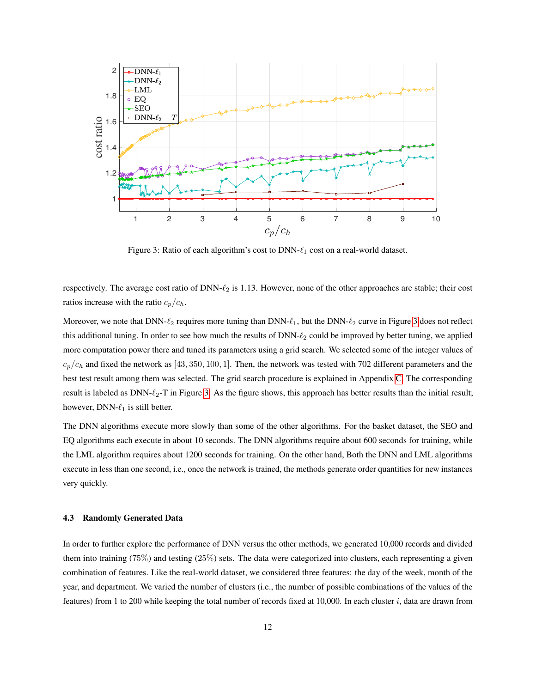<span id="page-11-1"></span>

Figure 3: Ratio of each algorithm's cost to DNN- $\ell_1$  cost on a real-world dataset.

respectively. The average cost ratio of  $DNN-\ell_2$  is 1.13. However, none of the other approaches are stable; their cost ratios increase with the ratio  $c_p/c_h$ .

Moreover, we note that  $DNN-\ell_2$  requires more tuning than  $DNN-\ell_1$ , but the  $DNN-\ell_2$  curve in Figure [3](#page-11-1) does not reflect this additional tuning. In order to see how much the results of  $DNN-\ell_2$  could be improved by better tuning, we applied more computation power there and tuned its parameters using a grid search. We selected some of the integer values of  $c_p/c_h$  and fixed the network as [43, 350, 100, 1]. Then, the network was tested with 702 different parameters and the best test result among them was selected. The grid search procedure is explained in Appendix [C.](#page-17-0) The corresponding result is labeled as DNN- $\ell_2$ -T in Figure [3.](#page-11-1) As the figure shows, this approach has better results than the initial result; however, DNN- $\ell_1$  is still better.

The DNN algorithms execute more slowly than some of the other algorithms. For the basket dataset, the SEO and EQ algorithms each execute in about 10 seconds. The DNN algorithms require about 600 seconds for training, while the LML algorithm requires about 1200 seconds for training. On the other hand, Both the DNN and LML algorithms execute in less than one second, i.e., once the network is trained, the methods generate order quantities for new instances very quickly.

#### <span id="page-11-0"></span>4.3 Randomly Generated Data

In order to further explore the performance of DNN versus the other methods, we generated 10,000 records and divided them into training (75%) and testing (25%) sets. The data were categorized into clusters, each representing a given combination of features. Like the real-world dataset, we considered three features: the day of the week, month of the year, and department. We varied the number of clusters (i.e., the number of possible combinations of the values of the features) from 1 to 200 while keeping the total number of records fixed at 10,000. In each cluster  $i$ , data are drawn from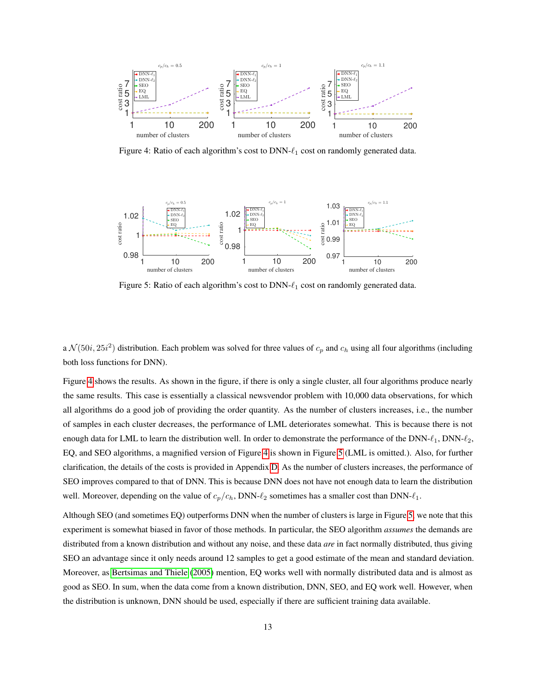<span id="page-12-0"></span>

Figure 4: Ratio of each algorithm's cost to DNN- $\ell_1$  cost on randomly generated data.

<span id="page-12-1"></span>

Figure 5: Ratio of each algorithm's cost to DNN- $\ell_1$  cost on randomly generated data.

a  $\mathcal{N}(50i, 25i^2)$  distribution. Each problem was solved for three values of  $c_p$  and  $c_h$  using all four algorithms (including both loss functions for DNN).

Figure [4](#page-12-0) shows the results. As shown in the figure, if there is only a single cluster, all four algorithms produce nearly the same results. This case is essentially a classical newsvendor problem with 10,000 data observations, for which all algorithms do a good job of providing the order quantity. As the number of clusters increases, i.e., the number of samples in each cluster decreases, the performance of LML deteriorates somewhat. This is because there is not enough data for LML to learn the distribution well. In order to demonstrate the performance of the DNN- $\ell_1$ , DNN- $\ell_2$ , EQ, and SEO algorithms, a magnified version of Figure [4](#page-12-0) is shown in Figure [5](#page-12-1) (LML is omitted.). Also, for further clarification, the details of the costs is provided in Appendix [D.](#page-19-0) As the number of clusters increases, the performance of SEO improves compared to that of DNN. This is because DNN does not have not enough data to learn the distribution well. Moreover, depending on the value of  $c_p/c_h$ , DNN- $\ell_2$  sometimes has a smaller cost than DNN- $\ell_1$ .

Although SEO (and sometimes EQ) outperforms DNN when the number of clusters is large in Figure [5,](#page-12-1) we note that this experiment is somewhat biased in favor of those methods. In particular, the SEO algorithm *assumes* the demands are distributed from a known distribution and without any noise, and these data *are* in fact normally distributed, thus giving SEO an advantage since it only needs around 12 samples to get a good estimate of the mean and standard deviation. Moreover, as [Bertsimas and Thiele](#page-13-5) [\(2005\)](#page-13-5) mention, EQ works well with normally distributed data and is almost as good as SEO. In sum, when the data come from a known distribution, DNN, SEO, and EQ work well. However, when the distribution is unknown, DNN should be used, especially if there are sufficient training data available.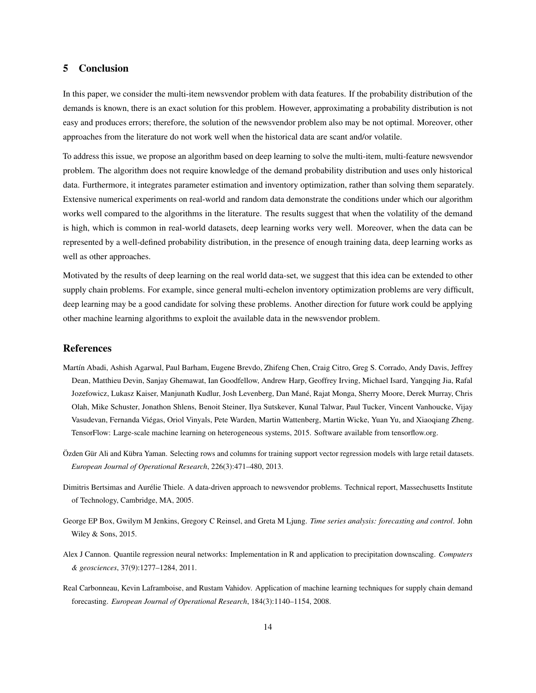### <span id="page-13-0"></span>5 Conclusion

In this paper, we consider the multi-item newsvendor problem with data features. If the probability distribution of the demands is known, there is an exact solution for this problem. However, approximating a probability distribution is not easy and produces errors; therefore, the solution of the newsvendor problem also may be not optimal. Moreover, other approaches from the literature do not work well when the historical data are scant and/or volatile.

To address this issue, we propose an algorithm based on deep learning to solve the multi-item, multi-feature newsvendor problem. The algorithm does not require knowledge of the demand probability distribution and uses only historical data. Furthermore, it integrates parameter estimation and inventory optimization, rather than solving them separately. Extensive numerical experiments on real-world and random data demonstrate the conditions under which our algorithm works well compared to the algorithms in the literature. The results suggest that when the volatility of the demand is high, which is common in real-world datasets, deep learning works very well. Moreover, when the data can be represented by a well-defined probability distribution, in the presence of enough training data, deep learning works as well as other approaches.

Motivated by the results of deep learning on the real world data-set, we suggest that this idea can be extended to other supply chain problems. For example, since general multi-echelon inventory optimization problems are very difficult, deep learning may be a good candidate for solving these problems. Another direction for future work could be applying other machine learning algorithms to exploit the available data in the newsvendor problem.

#### References

- <span id="page-13-6"></span>Martín Abadi, Ashish Agarwal, Paul Barham, Eugene Brevdo, Zhifeng Chen, Craig Citro, Greg S. Corrado, Andy Davis, Jeffrey Dean, Matthieu Devin, Sanjay Ghemawat, Ian Goodfellow, Andrew Harp, Geoffrey Irving, Michael Isard, Yangqing Jia, Rafal Jozefowicz, Lukasz Kaiser, Manjunath Kudlur, Josh Levenberg, Dan Mané, Rajat Monga, Sherry Moore, Derek Murray, Chris Olah, Mike Schuster, Jonathon Shlens, Benoit Steiner, Ilya Sutskever, Kunal Talwar, Paul Tucker, Vincent Vanhoucke, Vijay Vasudevan, Fernanda Viégas, Oriol Vinyals, Pete Warden, Martin Wattenberg, Martin Wicke, Yuan Yu, and Xiaoqiang Zheng. TensorFlow: Large-scale machine learning on heterogeneous systems, 2015. Software available from tensorflow.org.
- <span id="page-13-2"></span>Özden Gür Ali and Kübra Yaman. Selecting rows and columns for training support vector regression models with large retail datasets. *European Journal of Operational Research*, 226(3):471–480, 2013.
- <span id="page-13-5"></span>Dimitris Bertsimas and Aurélie Thiele. A data-driven approach to newsvendor problems. Technical report, Massechusetts Institute of Technology, Cambridge, MA, 2005.
- <span id="page-13-3"></span>George EP Box, Gwilym M Jenkins, Gregory C Reinsel, and Greta M Ljung. *Time series analysis: forecasting and control*. John Wiley & Sons, 2015.
- <span id="page-13-4"></span>Alex J Cannon. Quantile regression neural networks: Implementation in R and application to precipitation downscaling. *Computers & geosciences*, 37(9):1277–1284, 2011.
- <span id="page-13-1"></span>Real Carbonneau, Kevin Laframboise, and Rustam Vahidov. Application of machine learning techniques for supply chain demand forecasting. *European Journal of Operational Research*, 184(3):1140–1154, 2008.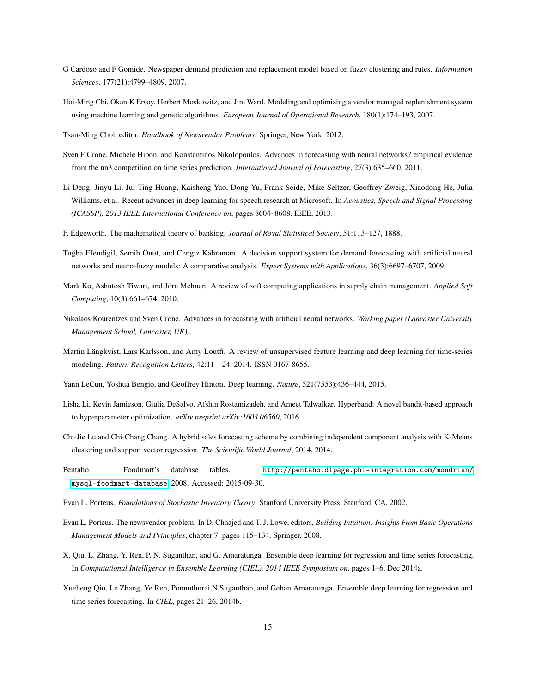- <span id="page-14-6"></span>G Cardoso and F Gomide. Newspaper demand prediction and replacement model based on fuzzy clustering and rules. *Information Sciences*, 177(21):4799–4809, 2007.
- <span id="page-14-4"></span>Hoi-Ming Chi, Okan K Ersoy, Herbert Moskowitz, and Jim Ward. Modeling and optimizing a vendor managed replenishment system using machine learning and genetic algorithms. *European Journal of Operational Research*, 180(1):174–193, 2007.
- <span id="page-14-3"></span>Tsan-Ming Choi, editor. *Handbook of Newsvendor Problems*. Springer, New York, 2012.
- <span id="page-14-11"></span>Sven F Crone, Michele Hibon, and Konstantinos Nikolopoulos. Advances in forecasting with neural networks? empirical evidence from the nn3 competition on time series prediction. *International Journal of Forecasting*, 27(3):635–660, 2011.
- <span id="page-14-13"></span>Li Deng, Jinyu Li, Jui-Ting Huang, Kaisheng Yao, Dong Yu, Frank Seide, Mike Seltzer, Geoffrey Zweig, Xiaodong He, Julia Williams, et al. Recent advances in deep learning for speech research at Microsoft. In *Acoustics, Speech and Signal Processing (ICASSP), 2013 IEEE International Conference on*, pages 8604–8608. IEEE, 2013.
- <span id="page-14-0"></span>F. Edgeworth. The mathematical theory of banking. *Journal of Royal Statistical Society*, 51:113–127, 1888.
- <span id="page-14-7"></span>Tugba Efendigil, Semih Önüt, and Cengiz Kahraman. A decision support system for demand forecasting with artificial neural ˘ networks and neuro-fuzzy models: A comparative analysis. *Expert Systems with Applications*, 36(3):6697–6707, 2009.
- <span id="page-14-9"></span>Mark Ko, Ashutosh Tiwari, and Jörn Mehnen. A review of soft computing applications in supply chain management. *Applied Soft Computing*, 10(3):661–674, 2010.
- <span id="page-14-8"></span>Nikolaos Kourentzes and Sven Crone. Advances in forecasting with artificial neural networks. *Working paper (Lancaster University Management School, Lancaster, UK),*.
- <span id="page-14-15"></span>Martin Längkvist, Lars Karlsson, and Amy Loutfi. A review of unsupervised feature learning and deep learning for time-series modeling. *Pattern Recognition Letters*, 42:11 – 24, 2014. ISSN 0167-8655.
- <span id="page-14-12"></span>Yann LeCun, Yoshua Bengio, and Geoffrey Hinton. Deep learning. *Nature*, 521(7553):436–444, 2015.
- <span id="page-14-16"></span>Lisha Li, Kevin Jamieson, Giulia DeSalvo, Afshin Rostamizadeh, and Ameet Talwalkar. Hyperband: A novel bandit-based approach to hyperparameter optimization. *arXiv preprint arXiv:1603.06560*, 2016.
- <span id="page-14-5"></span>Chi-Jie Lu and Chi-Chang Chang. A hybrid sales forecasting scheme by combining independent component analysis with K-Means clustering and support vector regression. *The Scientific World Journal*, 2014, 2014.
- <span id="page-14-17"></span>Pentaho. Foodmart's database tables. [http://pentaho.dlpage.phi-integration.com/mondrian/](http://pentaho.dlpage.phi-integration.com/mondrian/mysql-foodmart-database) [mysql-foodmart-database](http://pentaho.dlpage.phi-integration.com/mondrian/mysql-foodmart-database), 2008. Accessed: 2015-09-30.
- <span id="page-14-2"></span>Evan L. Porteus. *Foundations of Stochastic Inventory Theory*. Stanford University Press, Stanford, CA, 2002.
- <span id="page-14-1"></span>Evan L. Porteus. The newsvendor problem. In D. Chhajed and T. J. Lowe, editors, *Building Intuition: Insights From Basic Operations Management Models and Principles*, chapter 7, pages 115–134. Springer, 2008.
- <span id="page-14-14"></span>X. Qiu, L. Zhang, Y. Ren, P. N. Suganthan, and G. Amaratunga. Ensemble deep learning for regression and time series forecasting. In *Computational Intelligence in Ensemble Learning (CIEL), 2014 IEEE Symposium on*, pages 1–6, Dec 2014a.
- <span id="page-14-10"></span>Xueheng Qiu, Le Zhang, Ye Ren, Ponnuthurai N Suganthan, and Gehan Amaratunga. Ensemble deep learning for regression and time series forecasting. In *CIEL*, pages 21–26, 2014b.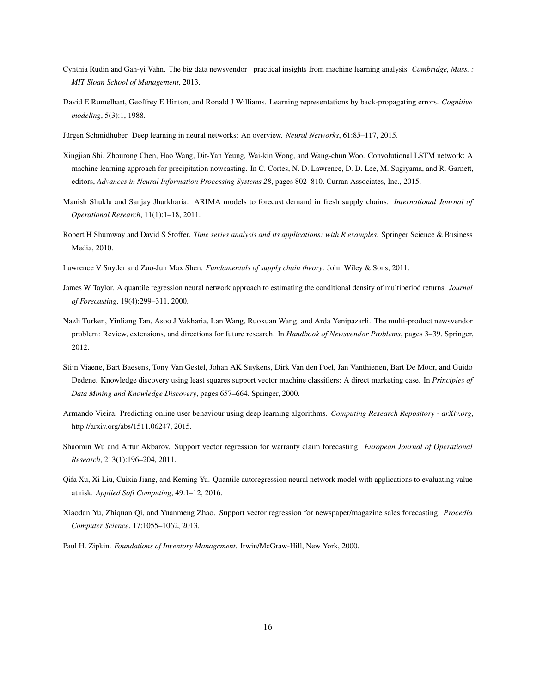- <span id="page-15-10"></span>Cynthia Rudin and Gah-yi Vahn. The big data newsvendor : practical insights from machine learning analysis. *Cambridge, Mass. : MIT Sloan School of Management*, 2013.
- <span id="page-15-14"></span>David E Rumelhart, Geoffrey E Hinton, and Ronald J Williams. Learning representations by back-propagating errors. *Cognitive modeling*, 5(3):1, 1988.
- <span id="page-15-12"></span>Jürgen Schmidhuber. Deep learning in neural networks: An overview. *Neural Networks*, 61:85–117, 2015.
- <span id="page-15-13"></span>Xingjian Shi, Zhourong Chen, Hao Wang, Dit-Yan Yeung, Wai-kin Wong, and Wang-chun Woo. Convolutional LSTM network: A machine learning approach for precipitation nowcasting. In C. Cortes, N. D. Lawrence, D. D. Lee, M. Sugiyama, and R. Garnett, editors, *Advances in Neural Information Processing Systems 28*, pages 802–810. Curran Associates, Inc., 2015.
- <span id="page-15-6"></span>Manish Shukla and Sanjay Jharkharia. ARIMA models to forecast demand in fresh supply chains. *International Journal of Operational Research*, 11(1):1–18, 2011.
- <span id="page-15-5"></span>Robert H Shumway and David S Stoffer. *Time series analysis and its applications: with R examples*. Springer Science & Business Media, 2010.
- <span id="page-15-1"></span>Lawrence V Snyder and Zuo-Jun Max Shen. *Fundamentals of supply chain theory*. John Wiley & Sons, 2011.
- <span id="page-15-7"></span>James W Taylor. A quantile regression neural network approach to estimating the conditional density of multiperiod returns. *Journal of Forecasting*, 19(4):299–311, 2000.
- <span id="page-15-11"></span>Nazli Turken, Yinliang Tan, Asoo J Vakharia, Lan Wang, Ruoxuan Wang, and Arda Yenipazarli. The multi-product newsvendor problem: Review, extensions, and directions for future research. In *Handbook of Newsvendor Problems*, pages 3–39. Springer, 2012.
- <span id="page-15-4"></span>Stijn Viaene, Bart Baesens, Tony Van Gestel, Johan AK Suykens, Dirk Van den Poel, Jan Vanthienen, Bart De Moor, and Guido Dedene. Knowledge discovery using least squares support vector machine classifiers: A direct marketing case. In *Principles of Data Mining and Knowledge Discovery*, pages 657–664. Springer, 2000.
- <span id="page-15-8"></span>Armando Vieira. Predicting online user behaviour using deep learning algorithms. *Computing Research Repository - arXiv.org*, http://arxiv.org/abs/1511.06247, 2015.
- <span id="page-15-3"></span>Shaomin Wu and Artur Akbarov. Support vector regression for warranty claim forecasting. *European Journal of Operational Research*, 213(1):196–204, 2011.
- <span id="page-15-9"></span>Qifa Xu, Xi Liu, Cuixia Jiang, and Keming Yu. Quantile autoregression neural network model with applications to evaluating value at risk. *Applied Soft Computing*, 49:1–12, 2016.
- <span id="page-15-2"></span>Xiaodan Yu, Zhiquan Qi, and Yuanmeng Zhao. Support vector regression for newspaper/magazine sales forecasting. *Procedia Computer Science*, 17:1055–1062, 2013.
- <span id="page-15-0"></span>Paul H. Zipkin. *Foundations of Inventory Management*. Irwin/McGraw-Hill, New York, 2000.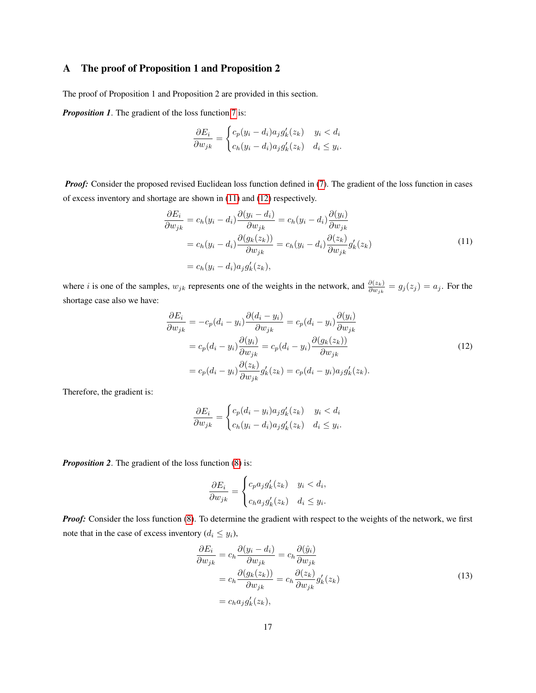### A The proof of Proposition 1 and Proposition 2

The proof of Proposition 1 and Proposition 2 are provided in this section.

*Proposition 1.* The gradient of the loss function [7](#page-7-1) is:

<span id="page-16-0"></span>
$$
\frac{\partial E_i}{\partial w_{jk}} = \begin{cases} c_p(y_i - d_i)a_j g'_k(z_k) & y_i < d_i \\ c_h(y_i - d_i)a_j g'_k(z_k) & d_i \le y_i. \end{cases}
$$

*Proof:* Consider the proposed revised Euclidean loss function defined in [\(7\)](#page-7-1). The gradient of the loss function in cases of excess inventory and shortage are shown in [\(11\)](#page-16-0) and [\(12\)](#page-16-1) respectively.

$$
\frac{\partial E_i}{\partial w_{jk}} = c_h(y_i - d_i) \frac{\partial (y_i - d_i)}{\partial w_{jk}} = c_h(y_i - d_i) \frac{\partial (y_i)}{\partial w_{jk}}
$$
  
=  $c_h(y_i - d_i) \frac{\partial (g_k(z_k))}{\partial w_{jk}} = c_h(y_i - d_i) \frac{\partial (z_k)}{\partial w_{jk}} g'_k(z_k)$   
=  $c_h(y_i - d_i) a_j g'_k(z_k)$ , (11)

where *i* is one of the samples,  $w_{jk}$  represents one of the weights in the network, and  $\frac{\partial(z_k)}{\partial w_{jk}} = g_j(z_j) = a_j$ . For the shortage case also we have:

<span id="page-16-1"></span>
$$
\frac{\partial E_i}{\partial w_{jk}} = -c_p(d_i - y_i) \frac{\partial (d_i - y_i)}{\partial w_{jk}} = c_p(d_i - y_i) \frac{\partial (y_i)}{\partial w_{jk}}
$$

$$
= c_p(d_i - y_i) \frac{\partial (y_i)}{\partial w_{jk}} = c_p(d_i - y_i) \frac{\partial (g_k(z_k))}{\partial w_{jk}}
$$

$$
= c_p(d_i - y_i) \frac{\partial (z_k)}{\partial w_{jk}} g'_k(z_k) = c_p(d_i - y_i) a_j g'_k(z_k).
$$
(12)

Therefore, the gradient is:

$$
\frac{\partial E_i}{\partial w_{jk}} = \begin{cases} c_p(d_i - y_i)a_j g'_k(z_k) & y_i < d_i \\ c_h(y_i - d_i)a_j g'_k(z_k) & d_i \le y_i. \end{cases}
$$

*Proposition 2.* The gradient of the loss function [\(8\)](#page-7-2) is:

$$
\frac{\partial E_i}{\partial w_{jk}} = \begin{cases} c_p a_j g'_k(z_k) & y_i < d_i, \\ c_h a_j g'_k(z_k) & d_i \le y_i. \end{cases}
$$

*Proof:* Consider the loss function [\(8\)](#page-7-2). To determine the gradient with respect to the weights of the network, we first note that in the case of excess inventory  $(d_i \leq y_i)$ ,

<span id="page-16-2"></span>
$$
\frac{\partial E_i}{\partial w_{jk}} = c_h \frac{\partial (y_i - d_i)}{\partial w_{jk}} = c_h \frac{\partial (\hat{y}_i)}{\partial w_{jk}}
$$
  
=  $c_h \frac{\partial (g_k(z_k))}{\partial w_{jk}} = c_h \frac{\partial (z_k)}{\partial w_{jk}} g'_k(z_k)$   
=  $c_h a_j g'_k(z_k)$ , (13)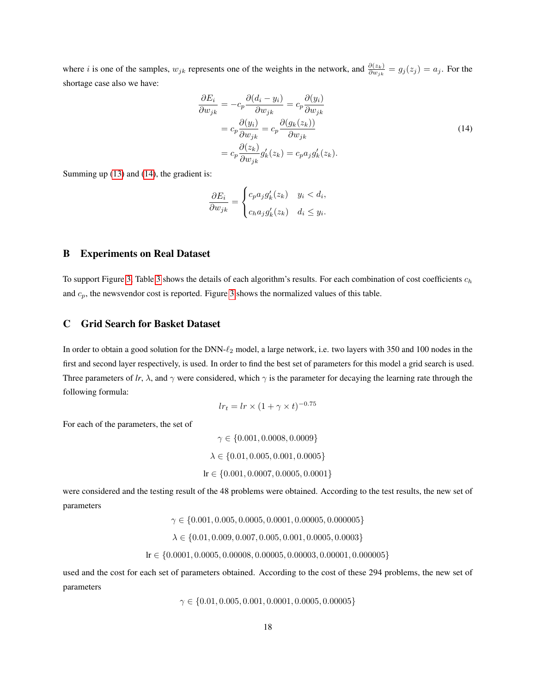where *i* is one of the samples,  $w_{jk}$  represents one of the weights in the network, and  $\frac{\partial(z_k)}{\partial w_{jk}} = g_j(z_j) = a_j$ . For the shortage case also we have:

<span id="page-17-2"></span>
$$
\frac{\partial E_i}{\partial w_{jk}} = -c_p \frac{\partial (d_i - y_i)}{\partial w_{jk}} = c_p \frac{\partial (y_i)}{\partial w_{jk}}
$$
  
=  $c_p \frac{\partial (y_i)}{\partial w_{jk}} = c_p \frac{\partial (g_k(z_k))}{\partial w_{jk}}$   
=  $c_p \frac{\partial (z_k)}{\partial w_{jk}} g'_k(z_k) = c_p a_j g'_k(z_k).$  (14)

Summing up [\(13\)](#page-16-2) and [\(14\)](#page-17-2), the gradient is:

$$
\frac{\partial E_i}{\partial w_{jk}} = \begin{cases} c_p a_j g'_k(z_k) & y_i < d_i, \\ c_h a_j g'_k(z_k) & d_i \le y_i. \end{cases}
$$

#### <span id="page-17-1"></span>B Experiments on Real Dataset

To support Figure [3,](#page-11-1) Table [3](#page-18-0) shows the details of each algorithm's results. For each combination of cost coefficients  $c_h$ and  $c_p$ , the newsvendor cost is reported. Figure [3](#page-11-1) shows the normalized values of this table.

### <span id="page-17-0"></span>C Grid Search for Basket Dataset

In order to obtain a good solution for the DNN- $\ell_2$  model, a large network, i.e. two layers with 350 and 100 nodes in the first and second layer respectively, is used. In order to find the best set of parameters for this model a grid search is used. Three parameters of *lr*,  $\lambda$ , and  $\gamma$  were considered, which  $\gamma$  is the parameter for decaying the learning rate through the following formula:

$$
lr_t = lr \times (1 + \gamma \times t)^{-0.75}
$$

For each of the parameters, the set of

$$
\gamma \in \{0.001, 0.0008, 0.0009\}
$$

$$
\lambda \in \{0.01, 0.005, 0.001, 0.0005\}
$$

$$
\text{lr} \in \{0.001, 0.0007, 0.0005, 0.0001\}
$$

were considered and the testing result of the 48 problems were obtained. According to the test results, the new set of parameters

$$
\gamma \in \{0.001, 0.005, 0.0005, 0.0001, 0.00005, 0.000005\}
$$
\n
$$
\lambda \in \{0.01, 0.009, 0.007, 0.005, 0.001, 0.0005, 0.0003\}
$$
\n
$$
\text{lr} \in \{0.0001, 0.0005, 0.00008, 0.00005, 0.00003, 0.00001, 0.000005\}
$$

used and the cost for each set of parameters obtained. According to the cost of these 294 problems, the new set of parameters

 $\gamma \in \{0.01, 0.005, 0.001, 0.0001, 0.0005, 0.00005\}$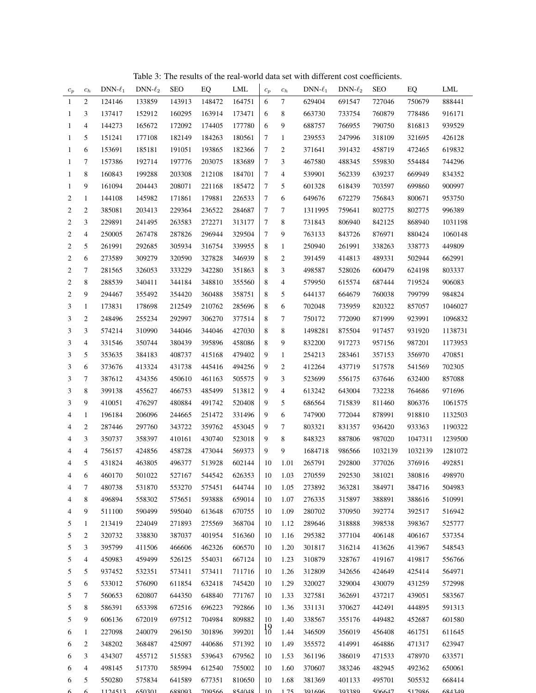<span id="page-18-0"></span>

| $c_p$          | $c_h$          | $DNN-\ell_1$ | DNN- $\ell_2$ | SEO    | EQ     | LML    | $c_{\it p}$     | $\mathfrak{c}_h$         | $DNN-\ell_1$ | DNN- $\ell_2$ | <b>SEO</b> | EQ      | <b>LML</b> |
|----------------|----------------|--------------|---------------|--------|--------|--------|-----------------|--------------------------|--------------|---------------|------------|---------|------------|
| $\mathbf{1}$   | $\sqrt{2}$     | 124146       | 133859        | 143913 | 148472 | 164751 | 6               | $\tau$                   | 629404       | 691547        | 727046     | 750679  | 888441     |
| 1              | 3              | 137417       | 152912        | 160295 | 163914 | 173471 | 6               | 8                        | 663730       | 733754        | 760879     | 778486  | 916171     |
| 1              | $\overline{4}$ | 144273       | 165672        | 172092 | 174405 | 177780 | 6               | 9                        | 688757       | 766955        | 790750     | 816813  | 939529     |
| $\mathbf{1}$   | 5              | 151241       | 177108        | 182149 | 184263 | 180561 | 7               | $\mathbf{1}$             | 239553       | 247996        | 318109     | 321695  | 426128     |
| $\mathbf{1}$   | 6              | 153691       | 185181        | 191051 | 193865 | 182366 | 7               | 2                        | 371641       | 391432        | 458719     | 472465  | 619832     |
| $\mathbf{1}$   | 7              | 157386       | 192714        | 197776 | 203075 | 183689 | 7               | 3                        | 467580       | 488345        | 559830     | 554484  | 744296     |
| $\mathbf{1}$   | $\,$ 8 $\,$    | 160843       | 199288        | 203308 | 212108 | 184701 | 7               | $\overline{\mathcal{L}}$ | 539901       | 562339        | 639237     | 669949  | 834352     |
| 1              | 9              | 161094       | 204443        | 208071 | 221168 | 185472 | 7               | 5                        | 601328       | 618439        | 703597     | 699860  | 900997     |
| 2              | $\mathbf{1}$   | 144108       | 145982        | 171861 | 179881 | 226533 | 7               | 6                        | 649676       | 672279        | 756843     | 800671  | 953750     |
| 2              | $\mathfrak{2}$ | 385081       | 203413        | 229364 | 236522 | 284687 | 7               | 7                        | 1311995      | 759641        | 802775     | 802775  | 996389     |
| $\overline{c}$ | 3              | 229891       | 241495        | 263583 | 272271 | 313177 | $\tau$          | 8                        | 731843       | 806940        | 842125     | 868940  | 1031198    |
| 2              | $\overline{4}$ | 250005       | 267478        | 287826 | 296944 | 329504 | 7               | 9                        | 763133       | 843726        | 876971     | 880424  | 1060148    |
| 2              | 5              | 261991       | 292685        | 305934 | 316754 | 339955 | 8               | $\mathbf{1}$             | 250940       | 261991        | 338263     | 338773  | 449809     |
| 2              | 6              | 273589       | 309279        | 320590 | 327828 | 346939 | 8               | 2                        | 391459       | 414813        | 489331     | 502944  | 662991     |
| $\overline{c}$ | $\tau$         | 281565       | 326053        | 333229 | 342280 | 351863 | 8               | 3                        | 498587       | 528026        | 600479     | 624198  | 803337     |
| 2              | 8              | 288539       | 340411        | 344184 | 348810 | 355560 | 8               | 4                        | 579950       | 615574        | 687444     | 719524  | 906083     |
| $\mathbf{2}$   | 9              | 294467       | 355492        | 354420 | 360488 | 358751 | 8               | 5                        | 644137       | 664679        | 760038     | 799799  | 984824     |
| 3              | $\mathbf{1}$   | 173831       | 178698        | 212549 | 210762 | 285696 | 8               | 6                        | 702048       | 735959        | 820322     | 857057  | 1046027    |
| 3              | $\mathfrak{2}$ | 248496       | 255234        | 292997 | 306270 | 377514 | 8               | 7                        | 750172       | 772090        | 871999     | 923991  | 1096832    |
| 3              | 3              | 574214       | 310990        | 344046 | 344046 | 427030 | 8               | 8                        | 1498281      | 875504        | 917457     | 931920  | 1138731    |
| 3              | $\overline{4}$ | 331546       | 350744        | 380439 | 395896 | 458086 | 8               | 9                        | 832200       | 917273        | 957156     | 987201  | 1173953    |
| 3              | 5              | 353635       | 384183        | 408737 | 415168 | 479402 | 9               | $\mathbf{1}$             | 254213       | 283461        | 357153     | 356970  | 470851     |
| 3              | 6              | 373676       | 413324        | 431738 | 445416 | 494256 | 9               | 2                        | 412264       | 437719        | 517578     | 541569  | 702305     |
| 3              | $\tau$         | 387612       | 434356        | 450610 | 461163 | 505575 | 9               | 3                        | 523699       | 556175        | 637646     | 632400  | 857088     |
| 3              | 8              | 399138       | 455627        | 466753 | 485499 | 513812 | 9               | 4                        | 613242       | 643004        | 732238     | 764686  | 971696     |
| 3              | 9              | 410051       | 476297        | 480884 | 491742 | 520408 | 9               | 5                        | 686564       | 715839        | 811460     | 806376  | 1061575    |
| 4              | $\mathbf{1}$   | 196184       | 206096        | 244665 | 251472 | 331496 | 9               | 6                        | 747900       | 772044        | 878991     | 918810  | 1132503    |
| 4              | $\mathfrak{2}$ | 287446       | 297760        | 343722 | 359762 | 453045 | 9               | 7                        | 803321       | 831357        | 936420     | 933363  | 1190322    |
| 4              | 3              | 350737       | 358397        | 410161 | 430740 | 523018 | 9               | 8                        | 848323       | 887806        | 987020     | 1047311 | 1239500    |
| 4              | 4              | 756157       | 424856        | 458728 | 473044 | 569373 | 9               | 9                        | 1684718      | 986566        | 1032139    | 1032139 | 1281072    |
| $\overline{4}$ | $\mathfrak s$  | 431824       | 463805        | 496377 | 513928 | 602144 | 10              | 1.01                     | 265791       | 292800        | 377026     | 376916  | 492851     |
| 4              | 6              | 460170       | 501022        | 527167 | 544542 | 626353 |                 | 10 1.03                  | 270559       | 292530        | 381021     | 380816  | 498970     |
| 4              | 7              | 480738       | 531870        | 553270 | 575451 | 644744 | 10              | 1.05                     | 273892       | 363281        | 384971     | 384716  | 504983     |
| 4              | 8              | 496894       | 558302        | 575651 | 593888 | 659014 | 10              | 1.07                     | 276335       | 315897        | 388891     | 388616  | 510991     |
| 4              | 9              | 511100       | 590499        | 595040 | 613648 | 670755 | 10              | 1.09                     | 280702       | 370950        | 392774     | 392517  | 516942     |
| 5              | 1              | 213419       | 224049        | 271893 | 275569 | 368704 | 10              | 1.12                     | 289646       | 318888        | 398538     | 398367  | 525777     |
| 5              | $\overline{c}$ | 320732       | 338830        | 387037 | 401954 | 516360 | 10              | 1.16                     | 295382       | 377104        | 406148     | 406167  | 537354     |
| 5              | 3              | 395799       | 411506        | 466606 | 462326 | 606570 | 10              | 1.20                     | 301817       | 316214        | 413626     | 413967  | 548543     |
| 5              | 4              | 450983       | 459499        | 526125 | 554031 | 667124 | 10              | 1.23                     | 310879       | 328767        | 419167     | 419817  | 556766     |
| 5              | 5              | 937452       | 532351        | 573411 | 573411 | 711716 | 10              | 1.26                     | 312809       | 342656        | 424649     | 425414  | 564971     |
| 5              | 6              | 533012       | 576090        | 611854 | 632418 | 745420 | 10              | 1.29                     | 320027       | 329004        | 430079     | 431259  | 572998     |
| 5              | 7              | 560653       | 620807        | 644350 | 648840 | 771767 | 10              | 1.33                     | 327581       | 362691        | 437217     | 439051  | 583567     |
| 5              | 8              | 586391       | 653398        | 672516 | 696223 | 792866 | 10              | 1.36                     | 331131       | 370627        | 442491     | 444895  | 591313     |
| 5              | 9              | 606136       | 672019        | 697512 | 704984 | 809882 | 10              | 1.40                     | 338567       | 355176        | 449482     | 452687  | 601580     |
| 6              | $\mathbf{1}$   | 227098       | 240079        | 296150 | 301896 | 399201 | $\frac{19}{10}$ | 1.44                     | 346509       | 356019        | 456408     | 461751  | 611645     |
| 6              | $\overline{c}$ | 348202       | 368487        | 425097 | 440686 | 571392 | 10              | 1.49                     | 355572       | 414991        | 464886     | 471317  | 623947     |
| 6              | 3              | 434307       | 455712        | 515583 | 539643 | 679562 | 10              | 1.53                     | 361196       | 386019        | 471533     | 478970  | 633571     |
| 6              | 4              | 498145       | 517370        | 585994 | 612540 | 755002 | 10              | 1.60                     | 370607       | 383246        | 482945     | 492362  | 650061     |
| 6              | 5              | 550280       | 575834        | 641589 | 677351 | 810650 | 10              | 1.68                     | 381369       | 401133        | 495701     | 505532  | 668414     |
|                |                | 1124512      | 650201        | 600002 | 700566 | 054040 | 1 <sub>0</sub>  | 1.75                     | 201406       | 202290        | 506617     | 517006  | 601210     |

Table 3: The results of the real-world data set with different cost coefficients.